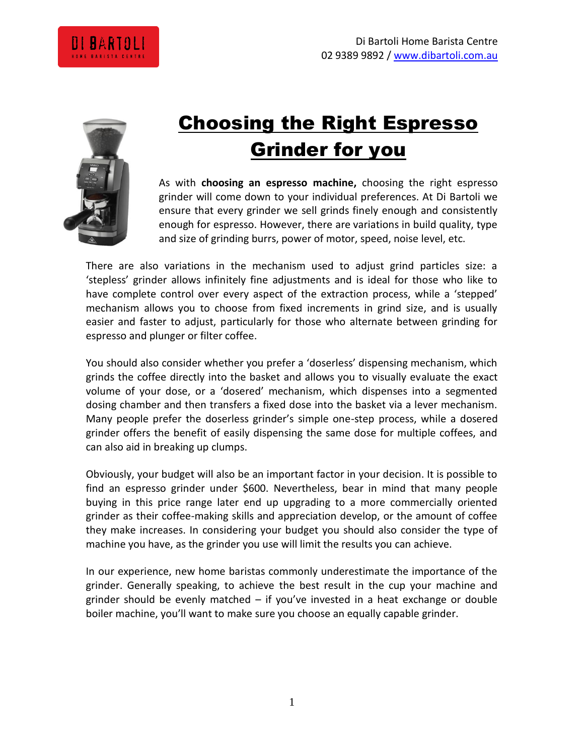



# Choosing the Right Espresso Grinder for you

As with **choosing an espresso machine,** choosing the right espresso grinder will come down to your individual preferences. At Di Bartoli we ensure that every grinder we sell grinds finely enough and consistently enough for espresso. However, there are variations in build quality, type and size of grinding burrs, power of motor, speed, noise level, etc.

There are also variations in the mechanism used to adjust grind particles size: a 'stepless' grinder allows infinitely fine adjustments and is ideal for those who like to have complete control over every aspect of the extraction process, while a 'stepped' mechanism allows you to choose from fixed increments in grind size, and is usually easier and faster to adjust, particularly for those who alternate between grinding for espresso and plunger or filter coffee.

You should also consider whether you prefer a 'doserless' dispensing mechanism, which grinds the coffee directly into the basket and allows you to visually evaluate the exact volume of your dose, or a 'dosered' mechanism, which dispenses into a segmented dosing chamber and then transfers a fixed dose into the basket via a lever mechanism. Many people prefer the doserless grinder's simple one-step process, while a dosered grinder offers the benefit of easily dispensing the same dose for multiple coffees, and can also aid in breaking up clumps.

Obviously, your budget will also be an important factor in your decision. It is possible to find an espresso grinder under \$600. Nevertheless, bear in mind that many people buying in this price range later end up upgrading to a more commercially oriented grinder as their coffee-making skills and appreciation develop, or the amount of coffee they make increases. In considering your budget you should also consider the type of machine you have, as the grinder you use will limit the results you can achieve.

In our experience, new home baristas commonly underestimate the importance of the grinder. Generally speaking, to achieve the best result in the cup your machine and grinder should be evenly matched – if you've invested in a heat exchange or double boiler machine, you'll want to make sure you choose an equally capable grinder.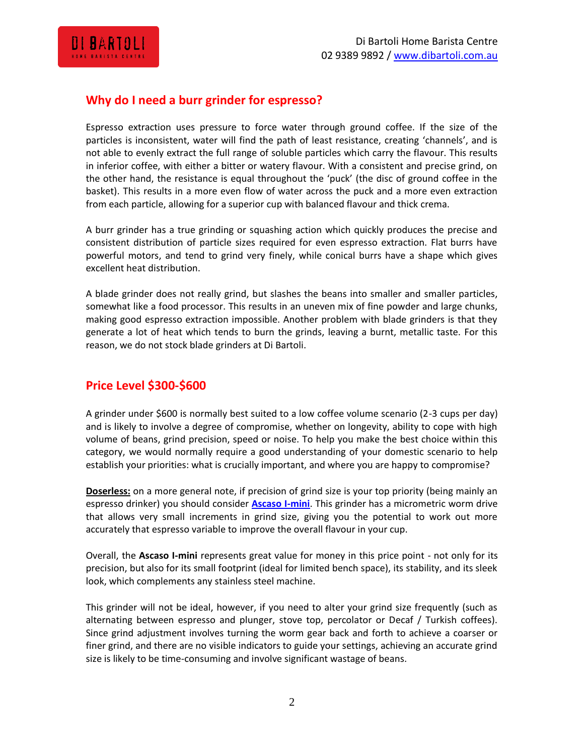

### **Why do I need a burr grinder for espresso?**

Espresso extraction uses pressure to force water through ground coffee. If the size of the particles is inconsistent, water will find the path of least resistance, creating 'channels', and is not able to evenly extract the full range of soluble particles which carry the flavour. This results in inferior coffee, with either a bitter or watery flavour. With a consistent and precise grind, on the other hand, the resistance is equal throughout the 'puck' (the disc of ground coffee in the basket). This results in a more even flow of water across the puck and a more even extraction from each particle, allowing for a superior cup with balanced flavour and thick crema.

A burr grinder has a true grinding or squashing action which quickly produces the precise and consistent distribution of particle sizes required for even espresso extraction. Flat burrs have powerful motors, and tend to grind very finely, while conical burrs have a shape which gives excellent heat distribution.

A blade grinder does not really grind, but slashes the beans into smaller and smaller particles, somewhat like a food processor. This results in an uneven mix of fine powder and large chunks, making good espresso extraction impossible. Another problem with blade grinders is that they generate a lot of heat which tends to burn the grinds, leaving a burnt, metallic taste. For this reason, we do not stock blade grinders at Di Bartoli.

## **Price Level \$300-\$600**

A grinder under \$600 is normally best suited to a low coffee volume scenario (2-3 cups per day) and is likely to involve a degree of compromise, whether on longevity, ability to cope with high volume of beans, grind precision, speed or noise. To help you make the best choice within this category, we would normally require a good understanding of your domestic scenario to help establish your priorities: what is crucially important, and where you are happy to compromise?

**Doserless:** on a more general note, if precision of grind size is your top priority (being mainly an espresso drinker) you should consider **[Ascaso I-mini](http://dibartoli.com.au/ascaso-i-mini-grinder/)**. This grinder has a micrometric worm drive that allows very small increments in grind size, giving you the potential to work out more accurately that espresso variable to improve the overall flavour in your cup.

Overall, the **Ascaso I-mini** represents great value for money in this price point - not only for its precision, but also for its small footprint (ideal for limited bench space), its stability, and its sleek look, which complements any stainless steel machine.

This grinder will not be ideal, however, if you need to alter your grind size frequently (such as alternating between espresso and plunger, stove top, percolator or Decaf / Turkish coffees). Since grind adjustment involves turning the worm gear back and forth to achieve a coarser or finer grind, and there are no visible indicators to guide your settings, achieving an accurate grind size is likely to be time-consuming and involve significant wastage of beans.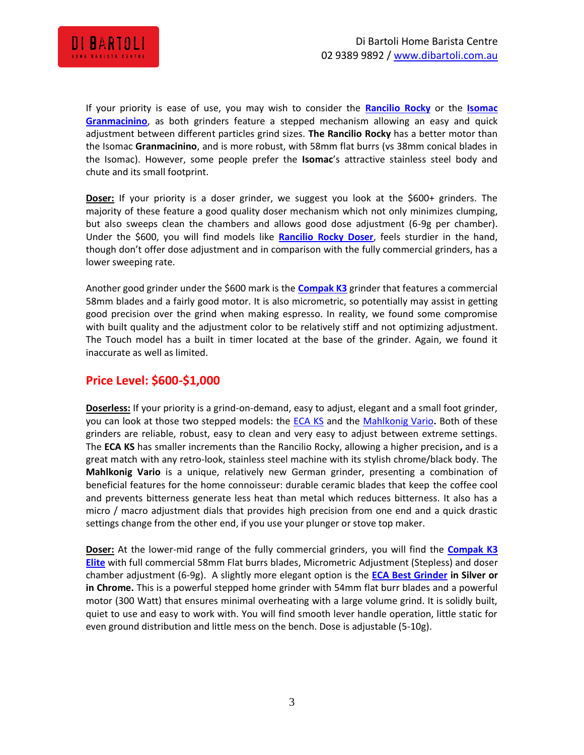

If your priority is ease of use, you may wish to consider the **[Rancilio](http://dibartoli.com.au/rancilio-rocky-doserless-grinder/) Rocky** or the **[Isomac](http://dibartoli.com.au/isomac-granmacinino-grinder/)  [Granmacinino](http://dibartoli.com.au/isomac-granmacinino-grinder/)**, as both grinders feature a stepped mechanism allowing an easy and quick adjustment between different particles grind sizes. **The Rancilio Rocky** has a better motor than the Isomac **Granmacinino**, and is more robust, with 58mm flat burrs (vs 38mm conical blades in the Isomac). However, some people prefer the **Isomac**'s attractive stainless steel body and chute and its small footprint.

**Doser:** If your priority is a doser grinder, we suggest you look at the \$600+ grinders. The majority of these feature a good quality doser mechanism which not only minimizes clumping, but also sweeps clean the chambers and allows good dose adjustment (6-9g per chamber). Under the \$600, you will find models like **Rancilio [Rocky Doser](http://dibartoli.com.au/rancilio-rocky-grinder-with-doser/)**, feels sturdier in the hand, though don't offer dose adjustment and in comparison with the fully commercial grinders, has a lower sweeping rate.

Another good grinder under the \$600 mark is the **[Compak K3](http://dibartoli.com.au/compak-k3-touch-grinder/)** grinder that features a commercial 58mm blades and a fairly good motor. It is also micrometric, so potentially may assist in getting good precision over the grind when making espresso. In reality, we found some compromise with built quality and the adjustment color to be relatively stiff and not optimizing adjustment. The Touch model has a built in timer located at the base of the grinder. Again, we found it inaccurate as well as limited.

#### **Price Level: \$600-\$1,000**

**Doserless:** If your priority is a grind-on-demand, easy to adjust, elegant and a small foot grinder, you can look at those two stepped models: the [ECA KS](http://dibartoli.com.au/eca-ks-doserless-grinder/) and the [Mahlkonig Vario](http://dibartoli.com.au/mahlkonig-vario-grinder/)**.** Both of these grinders are reliable, robust, easy to clean and very easy to adjust between extreme settings. The **ECA KS** has smaller increments than the Rancilio Rocky, allowing a higher precision**,** and is a great match with any retro-look, stainless steel machine with its stylish chrome/black body. The **Mahlkonig Vario** is a unique, relatively new German grinder, presenting a combination of beneficial features for the home connoisseur: durable ceramic blades that keep the coffee cool and prevents bitterness generate less heat than metal which reduces bitterness. It also has a micro / macro adjustment dials that provides high precision from one end and a quick drastic settings change from the other end, if you use your plunger or stove top maker.

**Doser:** At the lower-mid range of the fully commercial grinders, you will find the **[Compak K3](http://dibartoli.com.au/compak-k3-elite-manual-grinder/)  [Elite](http://dibartoli.com.au/compak-k3-elite-manual-grinder/)** with full commercial 58mm Flat burrs blades, Micrometric Adjustment (Stepless) and doser chamber adjustment (6-9g). A slightly more elegant option is the **[ECA Best Grinder](http://dibartoli.com.au/eca-best-grinder/) in Silver or in Chrome.** This is a powerful stepped home grinder with 54mm flat burr blades and a powerful motor (300 Watt) that ensures minimal overheating with a large volume grind. It is solidly built, quiet to use and easy to work with. You will find smooth lever handle operation, little static for even ground distribution and little mess on the bench. Dose is adjustable (5-10g).